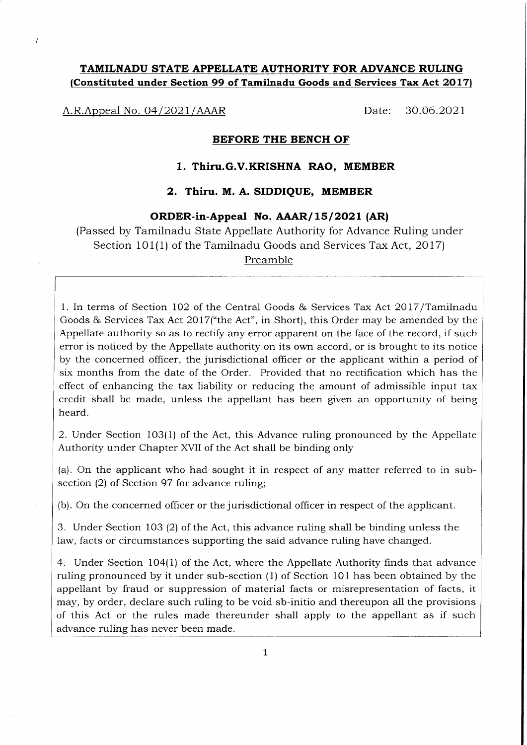# TAMILNADU STATE APPELLATE AUTHORITY FOR ADVANCE RULING (Constituted under Section 99 of Tamilnadu Goods and Services Tax Act 2017)

A.R.Appeal No. 04/2021/AAAR Date: 30.06.2021

#### BEFORE THE BENCH OF

## 1. Thiru.G.V.KRISHNA RAO, MEMBER

## 2. Thiru. M. A. SIDDIQUE, MEMBER

#### ORDER-in-Appeal No. AAAR/15/2021 (AR)

(Passed by Tamilnadu State Appellate Authority for Advance Ruling under Section 101(1) of the Tamilnadu Goods and Services Tax Act, 2017) Preamble

1. In terms of Section 102 of the Central Goods & Services Tax Act 2017/Tamilnadu Goods & Services Tax Act 2Ol7("the Act", in Short), this Order may be amended by the Appellate authority so as to rectify any error apparent on the face of the record, if such error is noticed by the Appellate authority on its own accord, or is brought to its notice by the concerned officer, the jurisdictional officer or the applicant within a period of six months from the date of the Order. Provided that no rectification which has the effect of enhancing the tax liability or reducing the amount of admissible input tax credit shall be made, unless the appeliant has been given an opportunity of being heard.

2. Under Section 103(1) of the Act, this Advance ruling pronounced by the Appellate Authority under Chapter XVII of the Act shall be binding only

(a). On the applicant who had sought it in respect of any matter referred to in subsection (2) of Section 97 for advance ruling;

(b). On the concerned officer or the jurisdictional officer in respect of the applicant.

3. Under Section 103 (2) of the Act, this advance ruling shall be binding unless the law, facts or circumstances supporting the said advance ruling have changed.

4. Under Section 104(1) of the Act, where the Appellate Authority finds that advance ruling pronounced by it under sub-section (1) of Section 101 has been obtained by the appellant by fraud or suppression of material facts or misrepresentation of facts, it may, by order, declare such ruling to be void sb-initio and thereupon all the provisions of this Act or the rules made thereunder shall apply to the appellant as if such advance ruling has never been made.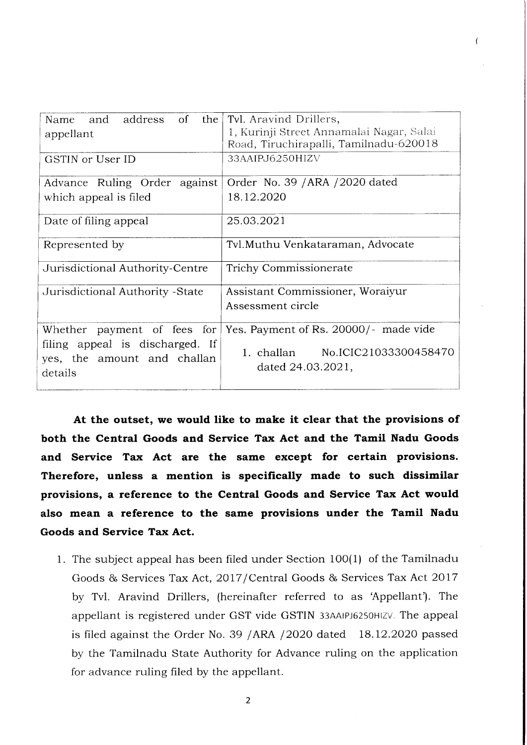| Name and address<br>$\circ$ of<br>the  <br>appellant                      | Tvl. Aravind Drillers,<br>1, Kurinji Street Annamalai Nagar, Salai<br>Road, Tiruchirapalli, Tamilnadu-620018 |  |  |
|---------------------------------------------------------------------------|--------------------------------------------------------------------------------------------------------------|--|--|
| GSTIN or User ID                                                          | 33AAIPJ6250HIZV                                                                                              |  |  |
| Advance Ruling Order against                                              | Order No. 39 / ARA / 2020 dated                                                                              |  |  |
| which appeal is filed                                                     | 18.12.2020                                                                                                   |  |  |
| Date of filing appeal                                                     | 25.03.2021                                                                                                   |  |  |
| Represented by                                                            | Tvl. Muthu Venkataraman, Advocate                                                                            |  |  |
| Jurisdictional Authority-Centre                                           | <b>Trichy Commissionerate</b>                                                                                |  |  |
| Jurisdictional Authority - State                                          | Assistant Commissioner, Woraiyur                                                                             |  |  |
|                                                                           | Assessment circle                                                                                            |  |  |
| Whether payment of fees for                                               | Yes. Payment of Rs. 20000/- made vide                                                                        |  |  |
| filing appeal is discharged. If<br>yes, the amount and challan<br>details | 1. challan No.ICIC21033300458470<br>dated 24.03.2021,                                                        |  |  |

At the outset, we would like to make it clear that the provisions of both the Central Goods and Service Tax Act and the Tamil Nadu Goods and Service Tax Act are the same except for certain provisions. Therefore, unless a mention is specifically made to such dissimilar provisions, a reference to the Central Goods and Service Tax Act would also mean a reference to the same provisions under the Tamil Nadu Goods and Service Tax Act.

1. The subject appeal has been fiied under Section 1OO(1) of the Tamilnadu Goods & Services Tax Act, 2017/Central Goods & Services Tax Act 2017 by Tvl. Aravind Drillers, (hereinafter referred to as 'Appellant'). The appellant is registered under GST vide GSTIN 33AAIPJ6250HIZV. The appeal is filed against the Order No. 39 /ARA /2020 dated 18.12.2020 passed by the Tamilnadu State Authority for Advance ruling on the application for advance ruling filed by the appellant.

 $\overline{2}$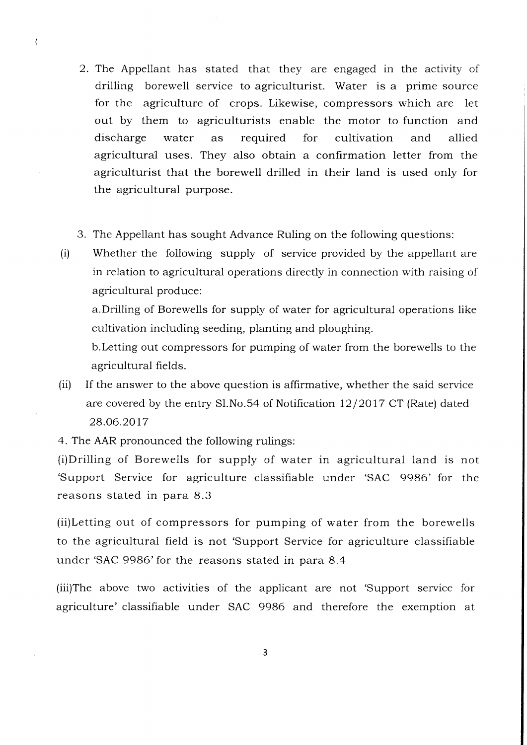- 2. The Appellant has stated that they are engaged in the activity of drilling borewell service to agriculturist. Water is a prime source for the agriculture of crops. Likewise, compressors which are let out by them to agriculturists enable the motor to function and discharge water as required for cultivation and allied agricultural uses. They also obtain a confirmation letter from the agriculturist that the borewell drilled in their land is used only for the agricultural purpose.
- 3. The Appellant has sought Advance Ruling on the following questions:
- (i) Whether the foliowing supply of service provided by the appellant are in relation to agricultural operations directly in connection with raising of agricultural produce:

a.Drilling of Borewells for supply of water for agricultural operations like cultivation including seeding, planting and ploughing.

b.Letting out compressors for pumping of water from the borewells to the agricultural fields.

(ii) If the answer to the above question is affirmative, whether the said service are covered by the entry Sl.No.54 of Notification  $12/2017$  CT (Rate) dated 28.06.20t7

4. The AAR pronounced the following rulings:

 $\overline{\mathcal{L}}$ 

(i)Drilling of Borewells for supply of water in agricultural land is not 'Support Service for agriculture classifiable under 'SAC 9986' for the reasons stated in para 8.3

(ii)Letting out of compressors for pumping of water from the borewells to the agricultural field is not 'Support Service for agriculture classifiable under 'SAC 9986'for the reasons stated in para 8.4

(iii)The above two activities of the applicant are not 'Support service for agriculture' classifiable under SAC 9986 and therefore the exemption at

 $\overline{3}$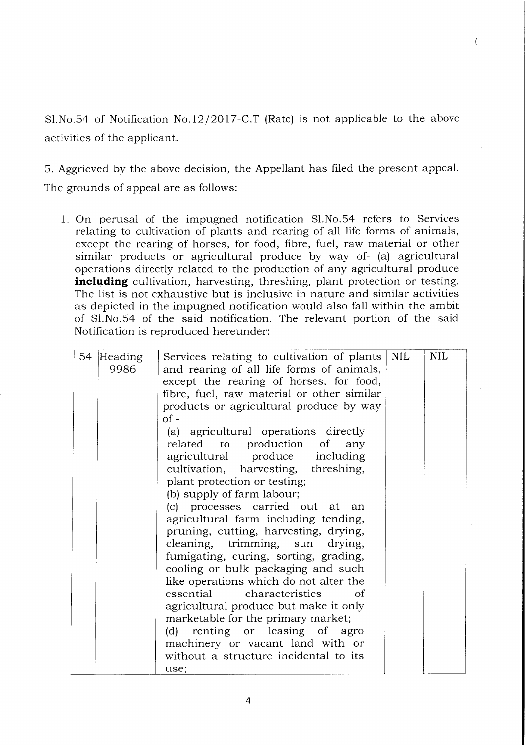Sl.No.54 of Notification No.12/2017-C.T (Rate) is not applicable to the above activities of the applicant.

 $\sqrt{ }$ 

5. Aggrieved by the above decision, the Appellant has filed the present appeal. The grounds of appeal are as follows:

1. On perusal of the impugned notification S1.No.54 refers to Services relating to cultivation of plants and rearing of all life forms of animals, except the rearing of horses, for food, fibre, fuel, raw material or other similar products or agricultural produce by way of- (a) agricultural operations directly related to the production of any agricultural produce including cultivation, harvesting, threshing, plant protection or testing. The list is not exhaustive but is inclusive in nature and similar activities as depicted in the impugned notification would also fall within the ambit of S1.No.54 of the said notification. The relevant portion of the said Notification is reproduced hereunder:

| 54 Heading | Services relating to cultivation of plants | <b>NIL</b> | <b>NIL</b> |
|------------|--------------------------------------------|------------|------------|
| 9986       | and rearing of all life forms of animals,  |            |            |
|            | except the rearing of horses, for food,    |            |            |
|            | fibre, fuel, raw material or other similar |            |            |
|            | products or agricultural produce by way    |            |            |
|            | $of -$                                     |            |            |
|            | (a) agricultural operations directly       |            |            |
|            | related to production of<br>any            |            |            |
|            | agricultural produce including             |            |            |
|            | cultivation, harvesting, threshing,        |            |            |
|            | plant protection or testing;               |            |            |
|            | (b) supply of farm labour;                 |            |            |
|            | (c) processes carried out at an            |            |            |
|            | agricultural farm including tending,       |            |            |
|            | pruning, cutting, harvesting, drying,      |            |            |
|            | cleaning, trimming, sun drying,            |            |            |
|            | fumigating, curing, sorting, grading,      |            |            |
|            | cooling or bulk packaging and such         |            |            |
|            | like operations which do not alter the     |            |            |
|            | essential<br>characteristics<br>Ωf         |            |            |
|            | agricultural produce but make it only      |            |            |
|            | marketable for the primary market;         |            |            |
|            | (d) renting or leasing of agro             |            |            |
|            | machinery or vacant land with or           |            |            |
|            | without a structure incidental to its      |            |            |
|            | use;                                       |            |            |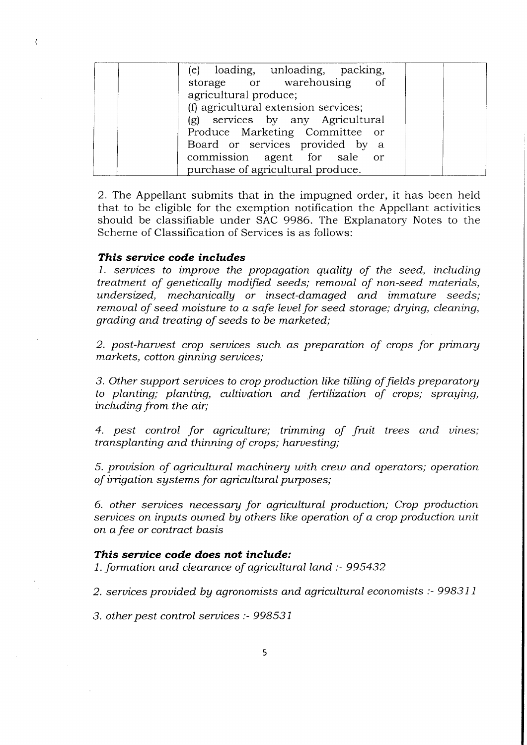| (e) loading, unloading, packing,     |  |
|--------------------------------------|--|
| storage or warehousing of            |  |
| agricultural produce;                |  |
| (f) agricultural extension services; |  |
| (g) services by any Agricultural     |  |
| Produce Marketing Committee or       |  |
| Board or services provided by a      |  |
| commission agent for sale or         |  |
| purchase of agricultural produce.    |  |

2. The Appellant submits that in the impugned order, it has been held that to be eligible for the exemption notification the Appellant activities should be classifiable under SAC 9986. The Explanatory Notes to the Scheme of Classification of Services is as follows:

# This service code includes

 $\overline{(\}$ 

1. seruices to improue the propagation quality of the seed, including treatment of geneticallg modified seeds; remoual of non-seed materials, undersized, mechanically or insect-damaged and immature seeds; remoual of seed moisture to a safe leuel for seed storage; drying, cleaning, grading and treating of seeds to be marketed;

2. post-haruest crop seruices such as preparation of crops for primary markets, cotton ginning seruices;

3. Other support seruices to crop production like tilling of fields preparatory to planting; planting, cultivation and fertilization of crops; spraying, including from the air;

4. pest control for agriculture; trimming of fruit trees and vines; transplanting and thinning of crops; haruesting;

5. prouision of agricultural machinery with crew and operators; operation of irrigation sgstems for agricultural purposes;

6. other seruices necessary for agicultural production; Crop production seruices on inputs owned by others like operation of a crop production unit on a fee or contract basis

### This service code does not include:

1. formation and clearance of agricultural land :- 995432

2. services provided by agronomists and agricultural economists :- 998311

3. other pest control seruices :- 998531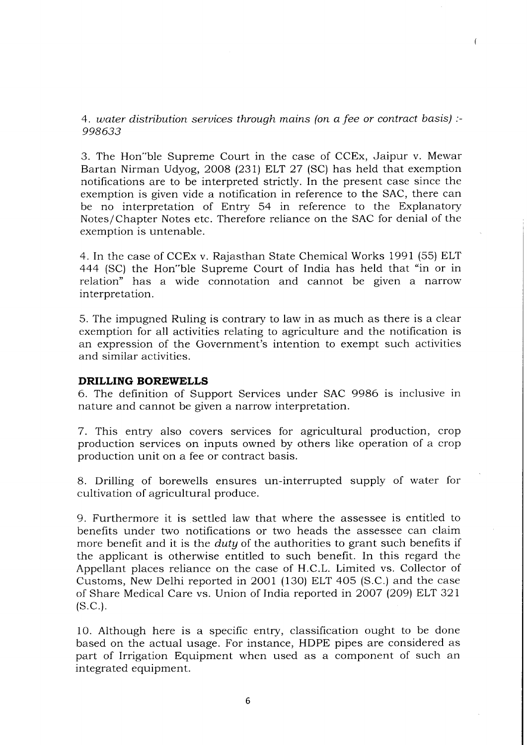# 4. uater distribution seruices through mains (on a fee or contract basis) :- 998633

 $\overline{(}$ 

3. The Hon"ble Supreme Court in the case of CCEx, Jaipur v. Mewar Bartan Nirman Udyog, 2OO8 (231) ELT 27 (SC) has held that exemption notifications are to be interpreted strictly. In the present case since the exemption is given vide a notification in reference to the SAC, there can be no interpretation of Entry 54 in reference to the Explanatory Notes/Chapter Notes etc. Therefore reliance on the SAC for denial of the exemption is untenable.

4. In the case of CCEx v. Rajasthan State Chemical Works 1991 (55) ELT 444 (SC) the Hon"ble Supreme Court of India has held that "in or in relation" has a wide connotation and cannot be given a narrow interpretation.

5. The impugned Ruling is contrary to law in as much as there is a clear exemption for all activities relating to agriculture and the notification is an expression of the Government's intention to exempt such activities and similar activities.

# DRILLING BOREWELLS

6. The definition of Support Services under SAC 9986 is inclusive in nature and cannot be given a narrow interpretation.

7. This entry also covers services for agricultural production, crop production services on inputs owned by others like operation of a crop production unit on a fee or contract basis.

8. Drilling of borewells ensures un-interrupted supply of water for cultivation of agricultural produce.

9. Furthermore it is settled law that where the assessee is entitled to benefits under two notifications or two heads the assessee can claim more benefit and it is the *duty* of the authorities to grant such benefits if the applicant is otherwise entitled to such benefit. In this regard the Appellant places reliance on the case of H.C.L. Limited vs. Collector of Customs, New Delhi reported in2OO1 (130) ELT 4O5 (S.C.) and the case of Share Medical Care vs. Union of India reported in 2007 (209) ELT 321  $(S.C.).$ 

10. Although here is a specific entry, classification ought to be done based on the actual usage. For instance, HDPE pipes are considered as part of Irrigation Equipment when used as a component of such an integrated equipment.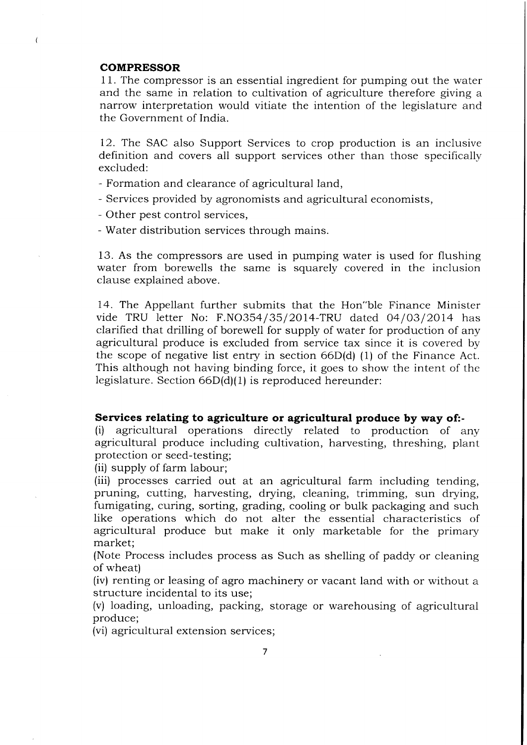#### **COMPRESSOR**

 $\overline{(\}$ 

<sup>1</sup>1. The compressor is an essential ingredient for pumping out the water and the same in relation to cultivation of agriculture therefore giving a narrow interpretation would vitiate the intention of the legislature and the Government of India.

72. The SAC also Support Services to crop production is an inclusive definition and covers all support services other than those specifically excluded:

- Formation and clearance of agricultural land,
- Services provided by agronomists and agricultural economists,
- Other pest control services,
- Water distribution services through mains.

13. As the compressors are used in pumping water is used for flushing water from borewells the same is squarely covered in the inclusion clause explained above.

14. The Appellant further submits that the Hon"ble Finance Minister vide TRU letter No: F.NO354/35/2014-TRU dated  $04/03/2014$  has clarified that drilling of borewell for supply of water for production of any agricultural produce is excluded from service tax since it is covered by the scope of negative list entry in section 66D(d) (1) of the Finance Act. This although not having binding force, it goes to show the intent of the legislature. Section 66D(d)(1) is reproduced hereunder:

Services relating to agriculture or agricultural produce by way of:-<br>(i) agricultural operations directly related to production of any agricultural produce including cultivation, harvesting, threshing, plant protection or seed-testing;

(ii) supply of farm labour;

(iii) processes carried out at an agricultural farm including tending, pruning, cutting, harvesting, drying, cleaning, trimming, sun drying, fumigating, curing, sorting, grading, cooling or bulk packaging and such like operations which do not alter the essential characteristics of agricultural produce but make it only marketable for the primary market;

(Note Process includes process as Such as shelling of paddy or cieaning of wheat)

(iv) renting or leasing of agro machinery or vacant land with or without a structure incidental to its use;

(v) loading, unloading, packing, storage or warehousing of agricultural produce;

(vi) agricultural extension services;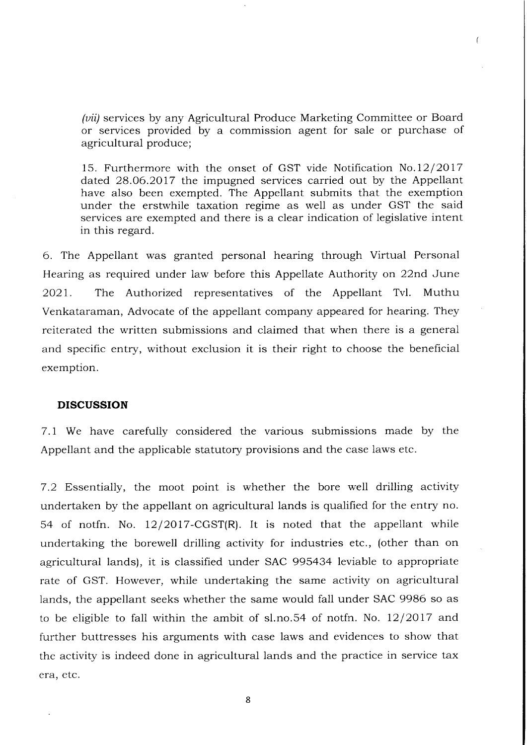(*vii*) services by any Agricultural Produce Marketing Committee or Board or services provided by a commission agent for sale or purchase of agricultural produce;

15. Furthermore with the onset of GST vide Notification  $No.12/2017$ dated 28.06.2077 the impugned services carried out by the Appellant have also been exempted. The Appellant submits that the exemption under the erstwhile taxation regime as well as under GST the said services are exempted and there is a clear indication of legislative intent in this regard.

6. The Appellant was granted personal hearing through Virtual Personal Hearing as required under law before this Appellate Authority on 22nd June 2O21. The Authorized representatives of the Appellant Tvl. Muthu Venkataraman, Advocate of the appellant company appeared for hearing. They reiterated the written submissions and claimed that when there is a general and specific entry, without exclusion it is their right to choose the beneficial exemption.

#### DISCUSSION

7.1 We have carefully considered the various submissions made by the Appellant and the applicable statutory provisions and the case laws etc.

7.2 Essentially, the moot point is whether the bore well drilling activity undertaken by the appellant on agricuitural lands is qualified for the entry no. 54 of notfn. No.  $12/2017-CGST(R)$ . It is noted that the appellant while undertaking the borewell drilling activity for industries etc., (other than on agricultural lands), it is classified under SAC 995434 leviable to appropriate rate of GST. However, while undertaking the same activity on agricultural lands, the appellant seeks whether the same would fall under SAC 9986 so as to be eligible to fall within the ambit of sl.no.54 of notin. No.  $12/2017$  and further buttresses his arguments with case laws and evidences to show that the activity is indeed done in agricultural lands and the practice in service tax era. etc.

8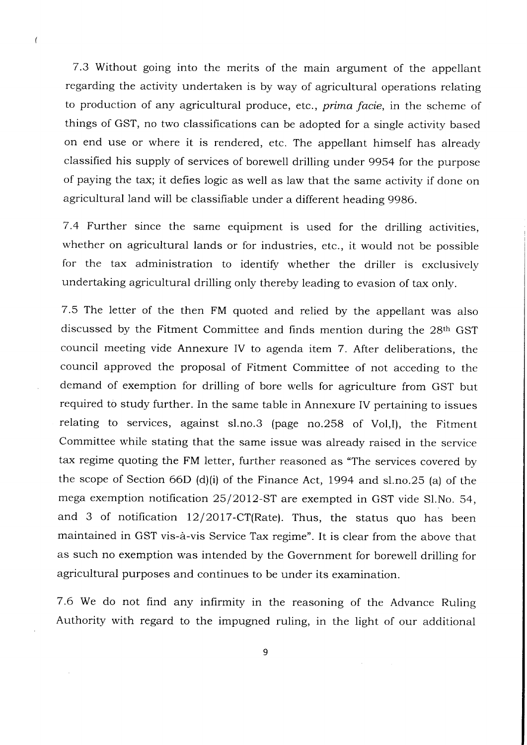7.3 Without going into the merits of the main argument of the appellant regarding the activity undertaken is by way of agricultural operations relating to production of any agricultural produce, etc., *prima facie*, in the scheme of things of GST, no two classifications can be adopted for a single activity based on end use or where it is rendered, etc. The appellant himself has already classified his supply of services of borewell drilling under 9954 for the purpose of paying the tax; it defies logic as well as law that the same activity if done on agricultural land will be classifiable under a different heading 9986.

 $\overline{ }$ 

7.4 Further since the same equipment is used for the driiling activities, whether on agricultural lands or for industries, etc., it would not be possible for the tax administration to identify whether the driller is exclusively undertaking agricultural drilling only thereby leading to evasion of tax only.

7.5 The letter of the then FM quoted and relied by the appellant was also discussed by the Fitment Committee and finds mention during the 28th GST council meeting vide Annexure IV to agenda item 7. After deliberations, the council approved the proposal of Fitment Committee of not acceding to the demand of exemption for drilling of bore wells for agriculture from GST but required to study further. In the same table in Annexure IV pertaining to issues relating to services, against sl.no.3 (page no.258 of Vol,I), the Fitment Committee while stating that the same issue was already raised in the service tax regime quoting the FM letter, further reasoned as "The services covered by the scope of Section 66D (d)(i) of the Finance Act, 1994 and sl.no.25 (a) of the mega exemption notification 25/2012-ST are exempted in GST vide Sl.No. 54, and 3 of notification  $12/2017$ -CT(Rate). Thus, the status quo has been maintained in GST vis-a-vis Service Tax regime". It is clear from the above that as such no exemption was intended by the Government for boreweil drilling for agricultural purposes and continues to be under its examination.

7.6 We do not find any infirmity in the reasoning of the Advance Ruling Authority with regard to the impugned ruling, in the light of our additional

9